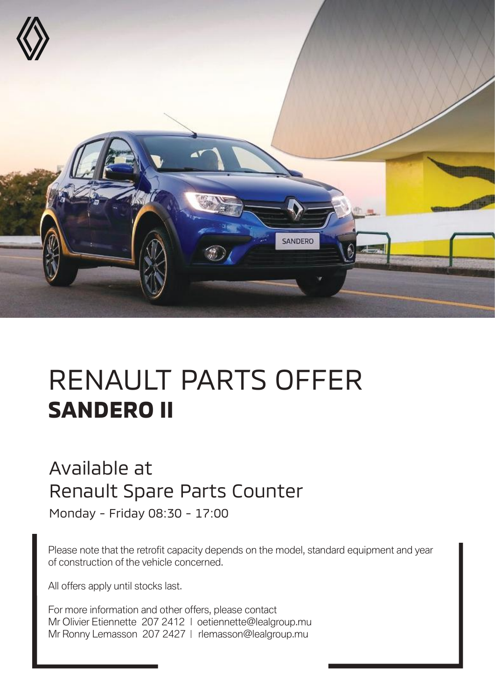

## RENAULT PARTS OFFER **SANDERO II**

## Available at Renault Spare Parts Counter

Monday - Friday 08:30 - 17:00

Please note that the retrofit capacity depends on the model, standard equipment and year of construction of the vehicle concerned.

All offers apply until stocks last.

For more information and other offers, please contact Mr Olivier Etiennette 207 2412 | oetiennette@lealgroup.mu Mr Ronny Lemasson 207 2427 | rlemasson@lealgroup.mu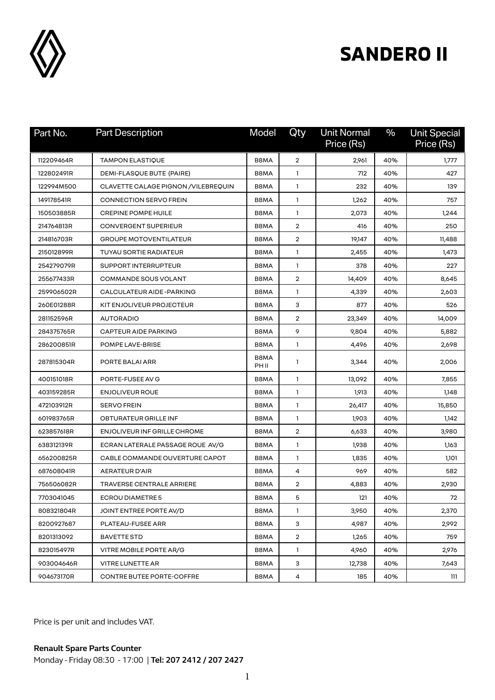

## **SANDERO II**

| Part No.   | <b>Part Description</b>              | Model         | Qty            | <b>Unit Normal</b><br>Price (Rs) | $\%$ | <b>Unit Special</b><br>Price (Rs) |
|------------|--------------------------------------|---------------|----------------|----------------------------------|------|-----------------------------------|
| 112209464R | <b>TAMPON ELASTIQUE</b>              | B8MA          | $\overline{2}$ | 2,961                            | 40%  | 1,777                             |
| 122802491R | DEMI-FLASQUE BUTE (PAIRE)            | B8MA          | 1              | 712                              | 40%  | 427                               |
| 122994M500 | CLAVETTE CALAGE PIGNON / VILEBREQUIN | B8MA          | $\mathbf{1}$   | 232                              | 40%  | 139                               |
| 149178541R | <b>CONNECTION SERVO FREIN</b>        | B8MA          | 1              | 1,262                            | 40%  | 757                               |
| 150503885R | <b>CREPINE POMPE HUILE</b>           | B8MA          | 1              | 2,073                            | 40%  | 1,244                             |
| 214764813R | <b>CONVERGENT SUPERIEUR</b>          | B8MA          | $\overline{2}$ | 416                              | 40%  | 250                               |
| 214816703R | <b>GROUPE MOTOVENTILATEUR</b>        | B8MA          | $\overline{2}$ | 19,147                           | 40%  | 11,488                            |
| 215012899R | TUYAU SORTIE RADIATEUR               | B8MA          | 1              | 2,455                            | 40%  | 1,473                             |
| 254279079R | SUPPORT INTERRUPTEUR                 | B8MA          | 1              | 378                              | 40%  | 227                               |
| 255677433R | COMMANDE SOUS VOLANT                 | B8MA          | $\overline{2}$ | 14,409                           | 40%  | 8,645                             |
| 259906502R | CALCULATEUR AIDE-PARKING             | B8MA          | $\mathbf{1}$   | 4,339                            | 40%  | 2,603                             |
| 260E01288R | KIT ENJOLIVEUR PROJECTEUR            | B8MA          | з              | 877                              | 40%  | 526                               |
| 281152596R | <b>AUTORADIO</b>                     | B8MA          | $\overline{2}$ | 23,349                           | 40%  | 14,009                            |
| 284375765R | <b>CAPTEUR AIDE PARKING</b>          | B8MA          | 9              | 9,804                            | 40%  | 5,882                             |
| 286200851R | POMPE LAVE-BRISE                     | B8MA          | 1              | 4,496                            | 40%  | 2,698                             |
| 287815304R | PORTE BALAI ARR                      | B8MA<br>PH II | 1              | 3,344                            | 40%  | 2.006                             |
| 400151018R | PORTE-FUSEE AV G                     | B8MA          | 1              | 13,092                           | 40%  | 7,855                             |
| 403159285R | <b>ENJOLIVEUR ROUE</b>               | B8MA          | 1              | 1,913                            | 40%  | 1,148                             |
| 472103912R | <b>SERVO FREIN</b>                   | B8MA          | $\mathbf{1}$   | 26,417                           | 40%  | 15,850                            |
| 601983765R | OBTURATEUR GRILLE INF                | B8MA          | 1              | 1,903                            | 40%  | 1,142                             |
| 623857618R | <b>ENJOLIVEUR INF GRILLE CHROME</b>  | B8MA          | $\overline{2}$ | 6,633                            | 40%  | 3,980                             |
| 638312139R | ECRAN LATERALE PASSAGE ROUE AV/G     | B8MA          | 1              | 1,938                            | 40%  | 1,163                             |
| 656200825R | CABLE COMMANDE OUVERTURE CAPOT       | B8MA          | 1              | 1,835                            | 40%  | 1,101                             |
| 687608041R | <b>AERATEUR D'AIR</b>                | B8MA          | 4              | 969                              | 40%  | 582                               |
| 756506082R | <b>TRAVERSE CENTRALE ARRIERE</b>     | B8MA          | 2              | 4,883                            | 40%  | 2,930                             |
| 7703041045 | <b>ECROU DIAMETRE 5</b>              | B8MA          | 5              | 121                              | 40%  | 72                                |
| 808321804R | JOINT ENTREE PORTE AV/D              | B8MA          | $\mathbf{1}$   | 3,950                            | 40%  | 2,370                             |
| 8200927687 | PLATEAU-FUSEE ARR                    | B8MA          | З              | 4,987                            | 40%  | 2,992                             |
| 8201313092 | <b>BAVETTE STD</b>                   | B8MA          | $\overline{2}$ | 1,265                            | 40%  | 759                               |
| 823015497R | VITRE MOBILE PORTE AR/G              | B8MA          | $\mathbf{1}$   | 4,960                            | 40%  | 2,976                             |
| 903004646R | <b>VITRE LUNETTE AR</b>              | B8MA          | 3              | 12,738                           | 40%  | 7,643                             |
| 904673170R | CONTRE BUTEE PORTE-COFFRE            | B8MA          | 4              | 185                              | 40%  | 111                               |

Price is per unit and includes VAT.